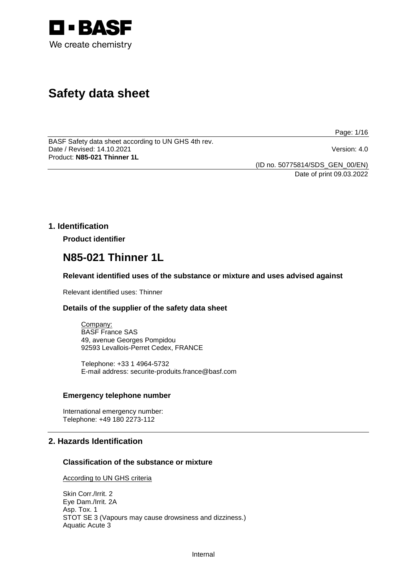

# **Safety data sheet**

Page: 1/16

BASF Safety data sheet according to UN GHS 4th rev. Date / Revised: 14.10.2021 Version: 4.0 Product: **N85-021 Thinner 1L**

(ID no. 50775814/SDS\_GEN\_00/EN)

Date of print 09.03.2022

## **1. Identification**

**Product identifier**

## **N85-021 Thinner 1L**

## **Relevant identified uses of the substance or mixture and uses advised against**

Relevant identified uses: Thinner

## **Details of the supplier of the safety data sheet**

Company: BASF France SAS 49, avenue Georges Pompidou 92593 Levallois-Perret Cedex, FRANCE

Telephone: +33 1 4964-5732 E-mail address: securite-produits.france@basf.com

#### **Emergency telephone number**

International emergency number: Telephone: +49 180 2273-112

## **2. Hazards Identification**

#### **Classification of the substance or mixture**

According to UN GHS criteria

Skin Corr./Irrit. 2 Eye Dam./Irrit. 2A Asp. Tox. 1 STOT SE 3 (Vapours may cause drowsiness and dizziness.) Aquatic Acute 3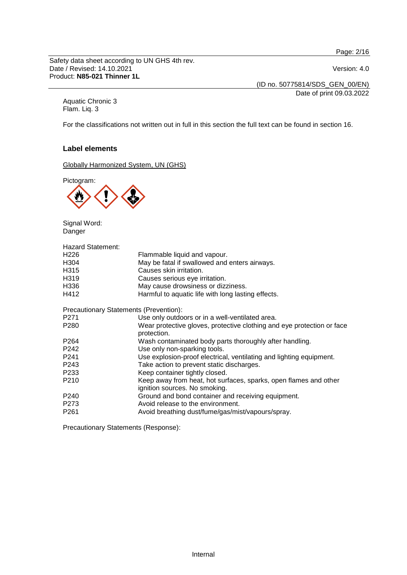Page: 2/16

Safety data sheet according to UN GHS 4th rev. Date / Revised: 14.10.2021 Version: 4.0 Product: **N85-021 Thinner 1L**

(ID no. 50775814/SDS\_GEN\_00/EN)

Date of print 09.03.2022

Aquatic Chronic 3 Flam. Liq. 3

For the classifications not written out in full in this section the full text can be found in section 16.

## **Label elements**

Globally Harmonized System, UN (GHS)

Pictogram:



Signal Word: Danger

| <b>Hazard Statement:</b>               |                                                                                                   |  |
|----------------------------------------|---------------------------------------------------------------------------------------------------|--|
| H226                                   | Flammable liquid and vapour.                                                                      |  |
| H304                                   | May be fatal if swallowed and enters airways.                                                     |  |
| H315                                   | Causes skin irritation.                                                                           |  |
| H319                                   | Causes serious eye irritation.                                                                    |  |
| H336                                   | May cause drowsiness or dizziness.                                                                |  |
| H412                                   | Harmful to aquatic life with long lasting effects.                                                |  |
| Precautionary Statements (Prevention): |                                                                                                   |  |
| P271                                   | Use only outdoors or in a well-ventilated area.                                                   |  |
| P280                                   | Wear protective gloves, protective clothing and eye protection or face<br>protection.             |  |
| P264                                   | Wash contaminated body parts thoroughly after handling.                                           |  |
| P242                                   | Use only non-sparking tools.                                                                      |  |
| P241                                   | Use explosion-proof electrical, ventilating and lighting equipment.                               |  |
| P243                                   | Take action to prevent static discharges.                                                         |  |
| P233                                   | Keep container tightly closed.                                                                    |  |
| P210                                   | Keep away from heat, hot surfaces, sparks, open flames and other<br>ignition sources. No smoking. |  |
| P240                                   | Ground and bond container and receiving equipment.                                                |  |
| P273                                   | Avoid release to the environment.                                                                 |  |
| P261                                   | Avoid breathing dust/fume/gas/mist/vapours/spray.                                                 |  |

Precautionary Statements (Response):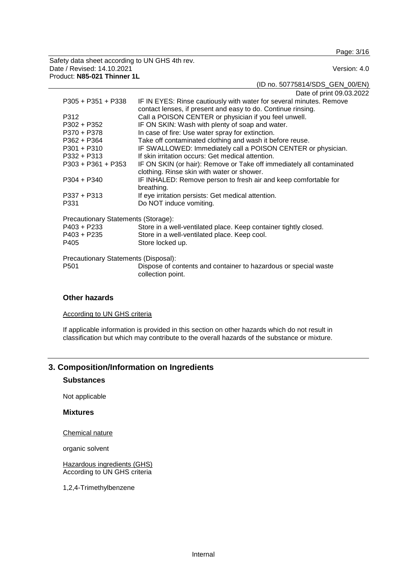Page: 3/16

Safety data sheet according to UN GHS 4th rev. Date / Revised: 14.10.2021 Product: **N85-021 Thinner 1L**

(ID no. 50775814/SDS\_GEN\_00/EN)

Date of print 09.03.2022

| $P305 + P351 + P338$                 | IF IN EYES: Rinse cautiously with water for several minutes. Remove   |
|--------------------------------------|-----------------------------------------------------------------------|
|                                      | contact lenses, if present and easy to do. Continue rinsing.          |
| P312                                 | Call a POISON CENTER or physician if you feel unwell.                 |
| P302 + P352                          | IF ON SKIN: Wash with plenty of soap and water.                       |
| P370 + P378                          | In case of fire: Use water spray for extinction.                      |
| P362 + P364                          | Take off contaminated clothing and wash it before reuse.              |
| $P301 + P310$                        | IF SWALLOWED: Immediately call a POISON CENTER or physician.          |
| $P332 + P313$                        | If skin irritation occurs: Get medical attention.                     |
| $P303 + P361 + P353$                 | IF ON SKIN (or hair): Remove or Take off immediately all contaminated |
|                                      | clothing. Rinse skin with water or shower.                            |
| $P304 + P340$                        | IF INHALED: Remove person to fresh air and keep comfortable for       |
|                                      | breathing.                                                            |
| $P337 + P313$                        | If eye irritation persists: Get medical attention.                    |
| P331                                 | Do NOT induce vomiting.                                               |
| Precautionary Statements (Storage):  |                                                                       |
| P403 + P233                          | Store in a well-ventilated place. Keep container tightly closed.      |
| P403 + P235                          | Store in a well-ventilated place. Keep cool.                          |
| P405                                 | Store locked up.                                                      |
| Precautionary Statements (Disposal): |                                                                       |
| P <sub>501</sub>                     | Dispose of contents and container to hazardous or special waste       |
|                                      | collection point.                                                     |

## **Other hazards**

According to UN GHS criteria

If applicable information is provided in this section on other hazards which do not result in classification but which may contribute to the overall hazards of the substance or mixture.

## **3. Composition/Information on Ingredients**

### **Substances**

Not applicable

#### **Mixtures**

Chemical nature

organic solvent

Hazardous ingredients (GHS) According to UN GHS criteria

1,2,4-Trimethylbenzene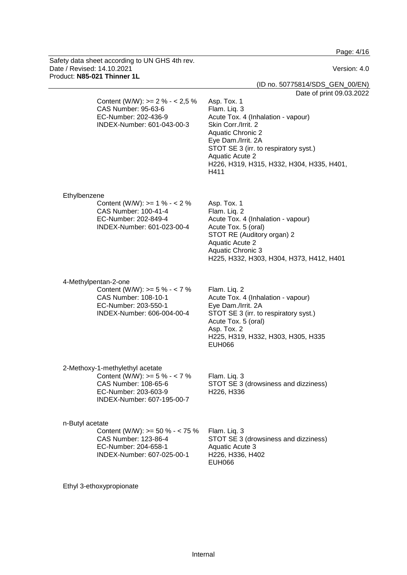Page: 4/16

| Safety data sheet according to UN GHS 4th rev.<br>Date / Revised: 14.10.2021<br>Product: N85-021 Thinner 1L                                      | Version: 4.0                                                                                                                                                                                                                                                                                   |
|--------------------------------------------------------------------------------------------------------------------------------------------------|------------------------------------------------------------------------------------------------------------------------------------------------------------------------------------------------------------------------------------------------------------------------------------------------|
|                                                                                                                                                  | (ID no. 50775814/SDS_GEN_00/EN)                                                                                                                                                                                                                                                                |
| Content (W/W): $>= 2 \% - 2.5 \%$<br>CAS Number: 95-63-6<br>EC-Number: 202-436-9<br>INDEX-Number: 601-043-00-3                                   | Date of print 09.03.2022<br>Asp. Tox. 1<br>Flam. Liq. 3<br>Acute Tox. 4 (Inhalation - vapour)<br>Skin Corr./Irrit. 2<br><b>Aquatic Chronic 2</b><br>Eye Dam./Irrit. 2A<br>STOT SE 3 (irr. to respiratory syst.)<br><b>Aquatic Acute 2</b><br>H226, H319, H315, H332, H304, H335, H401,<br>H411 |
| Ethylbenzene<br>Content (W/W): $>= 1 \% - 2 \%$<br>CAS Number: 100-41-4<br>EC-Number: 202-849-4<br>INDEX-Number: 601-023-00-4                    | Asp. Tox. 1<br>Flam. Liq. 2<br>Acute Tox. 4 (Inhalation - vapour)<br>Acute Tox. 5 (oral)<br>STOT RE (Auditory organ) 2<br><b>Aquatic Acute 2</b><br><b>Aquatic Chronic 3</b><br>H225, H332, H303, H304, H373, H412, H401                                                                       |
| 4-Methylpentan-2-one<br>Content (W/W): $>= 5 \% - 7 \%$<br>CAS Number: 108-10-1<br>EC-Number: 203-550-1<br>INDEX-Number: 606-004-00-4            | Flam. Liq. 2<br>Acute Tox. 4 (Inhalation - vapour)<br>Eye Dam./Irrit. 2A<br>STOT SE 3 (irr. to respiratory syst.)<br>Acute Tox. 5 (oral)<br>Asp. Tox. 2<br>H225, H319, H332, H303, H305, H335<br><b>EUH066</b>                                                                                 |
| 2-Methoxy-1-methylethyl acetate<br>Content (W/W): $>= 5 \% - 7 \%$<br>CAS Number: 108-65-6<br>EC-Number: 203-603-9<br>INDEX-Number: 607-195-00-7 | Flam. Liq. 3<br>STOT SE 3 (drowsiness and dizziness)<br>H226, H336                                                                                                                                                                                                                             |
| n-Butyl acetate<br>Content (W/W): $> = 50 \% - < 75 \%$<br>CAS Number: 123-86-4<br>EC-Number: 204-658-1<br>INDEX-Number: 607-025-00-1            | Flam. Liq. 3<br>STOT SE 3 (drowsiness and dizziness)<br>Aquatic Acute 3<br>H226, H336, H402<br><b>EUH066</b>                                                                                                                                                                                   |

Ethyl 3-ethoxypropionate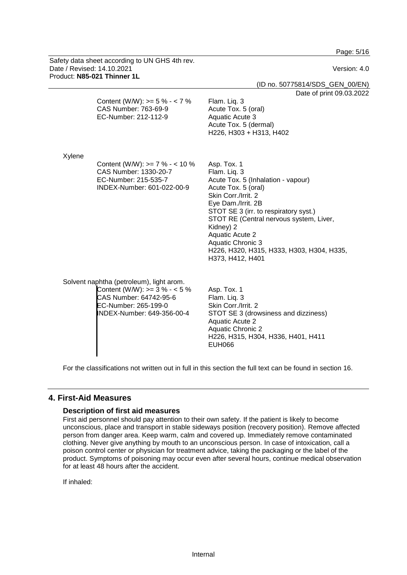Page: 5/16

|        | Safety data sheet according to UN GHS 4th rev.<br>Date / Revised: 14.10.2021<br>Product: N85-021 Thinner 1L                                                 | Version: 4.0<br>(ID no. 50775814/SDS_GEN_00/EN)                                                                                                                                                                                                                                                                                                        |
|--------|-------------------------------------------------------------------------------------------------------------------------------------------------------------|--------------------------------------------------------------------------------------------------------------------------------------------------------------------------------------------------------------------------------------------------------------------------------------------------------------------------------------------------------|
|        | Content (W/W): $> = 5 \% - 7 \%$<br>CAS Number: 763-69-9                                                                                                    | Date of print 09.03.2022<br>Flam. Liq. 3<br>Acute Tox. 5 (oral)                                                                                                                                                                                                                                                                                        |
|        | EC-Number: 212-112-9                                                                                                                                        | Aquatic Acute 3<br>Acute Tox. 5 (dermal)<br>H226, H303 + H313, H402                                                                                                                                                                                                                                                                                    |
| Xylene | Content (W/W): $> = 7 \% - 10 \%$<br>CAS Number: 1330-20-7<br>EC-Number: 215-535-7<br>INDEX-Number: 601-022-00-9                                            | Asp. Tox. 1<br>Flam. Liq. 3<br>Acute Tox. 5 (Inhalation - vapour)<br>Acute Tox. 5 (oral)<br>Skin Corr./Irrit. 2<br>Eye Dam./Irrit. 2B<br>STOT SE 3 (irr. to respiratory syst.)<br>STOT RE (Central nervous system, Liver,<br>Kidney) 2<br><b>Aquatic Acute 2</b><br>Aquatic Chronic 3<br>H226, H320, H315, H333, H303, H304, H335,<br>H373, H412, H401 |
|        | Solvent naphtha (petroleum), light arom.<br>Content (W/W): $>=$ 3 % - < 5 %<br>CAS Number: 64742-95-6<br>EC-Number: 265-199-0<br>INDEX-Number: 649-356-00-4 | Asp. Tox. 1<br>Flam. Liq. 3<br>Skin Corr./Irrit. 2<br>STOT SE 3 (drowsiness and dizziness)<br><b>Aquatic Acute 2</b><br><b>Aquatic Chronic 2</b><br>H226, H315, H304, H336, H401, H411<br><b>EUH066</b>                                                                                                                                                |

For the classifications not written out in full in this section the full text can be found in section 16.

## **4. First-Aid Measures**

#### **Description of first aid measures**

First aid personnel should pay attention to their own safety. If the patient is likely to become unconscious, place and transport in stable sideways position (recovery position). Remove affected person from danger area. Keep warm, calm and covered up. Immediately remove contaminated clothing. Never give anything by mouth to an unconscious person. In case of intoxication, call a poison control center or physician for treatment advice, taking the packaging or the label of the product. Symptoms of poisoning may occur even after several hours, continue medical observation for at least 48 hours after the accident.

If inhaled: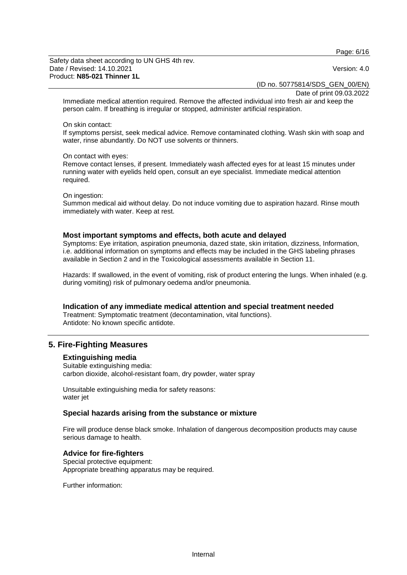Page: 6/16

Safety data sheet according to UN GHS 4th rev. Date / Revised: 14.10.2021 **Version: 4.0** Product: **N85-021 Thinner 1L**

(ID no. 50775814/SDS\_GEN\_00/EN)

Date of print 09.03.2022

Immediate medical attention required. Remove the affected individual into fresh air and keep the person calm. If breathing is irregular or stopped, administer artificial respiration.

#### On skin contact:

If symptoms persist, seek medical advice. Remove contaminated clothing. Wash skin with soap and water, rinse abundantly. Do NOT use solvents or thinners.

#### On contact with eyes:

Remove contact lenses, if present. Immediately wash affected eyes for at least 15 minutes under running water with eyelids held open, consult an eye specialist. Immediate medical attention required.

#### On ingestion:

Summon medical aid without delay. Do not induce vomiting due to aspiration hazard. Rinse mouth immediately with water. Keep at rest.

#### **Most important symptoms and effects, both acute and delayed**

Symptoms: Eye irritation, aspiration pneumonia, dazed state, skin irritation, dizziness, Information, i.e. additional information on symptoms and effects may be included in the GHS labeling phrases available in Section 2 and in the Toxicological assessments available in Section 11.

Hazards: If swallowed, in the event of vomiting, risk of product entering the lungs. When inhaled (e.g. during vomiting) risk of pulmonary oedema and/or pneumonia.

**Indication of any immediate medical attention and special treatment needed**

Treatment: Symptomatic treatment (decontamination, vital functions). Antidote: No known specific antidote.

## **5. Fire-Fighting Measures**

#### **Extinguishing media**

Suitable extinguishing media: carbon dioxide, alcohol-resistant foam, dry powder, water spray

Unsuitable extinguishing media for safety reasons: water jet

#### **Special hazards arising from the substance or mixture**

Fire will produce dense black smoke. Inhalation of dangerous decomposition products may cause serious damage to health.

### **Advice for fire-fighters**

Special protective equipment: Appropriate breathing apparatus may be required.

Further information: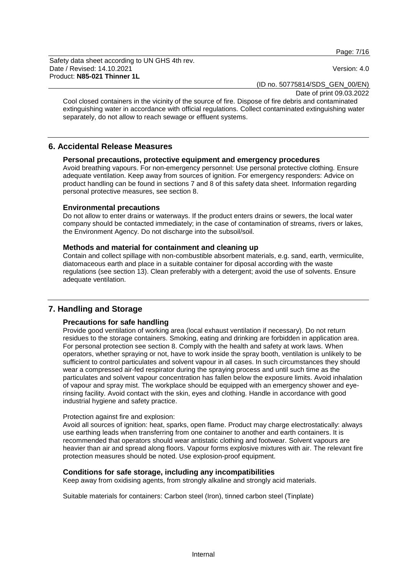Page: 7/16

Safety data sheet according to UN GHS 4th rev. Date / Revised: 14.10.2021 Version: 4.0 Product: **N85-021 Thinner 1L**

(ID no. 50775814/SDS\_GEN\_00/EN)

Date of print 09.03.2022

Cool closed containers in the vicinity of the source of fire. Dispose of fire debris and contaminated extinguishing water in accordance with official regulations. Collect contaminated extinguishing water separately, do not allow to reach sewage or effluent systems.

## **6. Accidental Release Measures**

## **Personal precautions, protective equipment and emergency procedures**

Avoid breathing vapours. For non-emergency personnel: Use personal protective clothing. Ensure adequate ventilation. Keep away from sources of ignition. For emergency responders: Advice on product handling can be found in sections 7 and 8 of this safety data sheet. Information regarding personal protective measures, see section 8.

#### **Environmental precautions**

Do not allow to enter drains or waterways. If the product enters drains or sewers, the local water company should be contacted immediately; in the case of contamination of streams, rivers or lakes, the Environment Agency. Do not discharge into the subsoil/soil.

#### **Methods and material for containment and cleaning up**

Contain and collect spillage with non-combustible absorbent materials, e.g. sand, earth, vermiculite, diatomaceous earth and place in a suitable container for diposal according with the waste regulations (see section 13). Clean preferably with a detergent; avoid the use of solvents. Ensure adequate ventilation.

## **7. Handling and Storage**

#### **Precautions for safe handling**

Provide good ventilation of working area (local exhaust ventilation if necessary). Do not return residues to the storage containers. Smoking, eating and drinking are forbidden in application area. For personal protection see section 8. Comply with the health and safety at work laws. When operators, whether spraying or not, have to work inside the spray booth, ventilation is unlikely to be sufficient to control particulates and solvent vapour in all cases. In such circumstances they should wear a compressed air-fed respirator during the spraying process and until such time as the particulates and solvent vapour concentration has fallen below the exposure limits. Avoid inhalation of vapour and spray mist. The workplace should be equipped with an emergency shower and eyerinsing facility. Avoid contact with the skin, eyes and clothing. Handle in accordance with good industrial hygiene and safety practice.

#### Protection against fire and explosion:

Avoid all sources of ignition: heat, sparks, open flame. Product may charge electrostatically: always use earthing leads when transferring from one container to another and earth containers. It is recommended that operators should wear antistatic clothing and footwear. Solvent vapours are heavier than air and spread along floors. Vapour forms explosive mixtures with air. The relevant fire protection measures should be noted. Use explosion-proof equipment.

#### **Conditions for safe storage, including any incompatibilities**

Keep away from oxidising agents, from strongly alkaline and strongly acid materials.

Suitable materials for containers: Carbon steel (Iron), tinned carbon steel (Tinplate)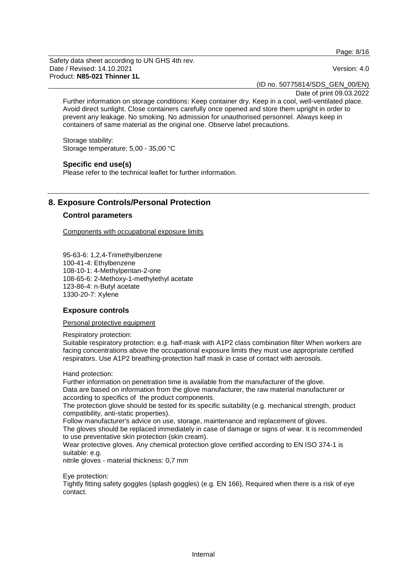Page: 8/16

Safety data sheet according to UN GHS 4th rev. Date / Revised: 14.10.2021 Version: 4.0 Product: **N85-021 Thinner 1L**

(ID no. 50775814/SDS\_GEN\_00/EN)

Date of print 09.03.2022

Further information on storage conditions: Keep container dry. Keep in a cool, well-ventilated place. Avoid direct sunlight. Close containers carefully once opened and store them upright in order to prevent any leakage. No smoking. No admission for unauthorised personnel. Always keep in containers of same material as the original one. Observe label precautions.

Storage stability: Storage temperature: 5,00 - 35,00 °C

## **Specific end use(s)**

Please refer to the technical leaflet for further information.

## **8. Exposure Controls/Personal Protection**

#### **Control parameters**

Components with occupational exposure limits

95-63-6: 1,2,4-Trimethylbenzene 100-41-4: Ethylbenzene 108-10-1: 4-Methylpentan-2-one 108-65-6: 2-Methoxy-1-methylethyl acetate 123-86-4: n-Butyl acetate 1330-20-7: Xylene

#### **Exposure controls**

Personal protective equipment

Respiratory protection:

Suitable respiratory protection: e.g. half-mask with A1P2 class combination filter When workers are facing concentrations above the occupational exposure limits they must use appropriate certified respirators. Use A1P2 breathing-protection half mask in case of contact with aerosols.

Hand protection:

Further information on penetration time is available from the manufacturer of the glove. Data are based on information from the glove manufacturer, the raw material manufacturer or according to specifics of the product components.

The protection glove should be tested for its specific suitability (e.g. mechanical strength, product compatibility, anti-static properties).

Follow manufacturer's advice on use, storage, maintenance and replacement of gloves.

The gloves should be replaced immediately in case of damage or signs of wear. It is recommended to use preventative skin protection (skin cream).

Wear protective gloves. Any chemical protection glove certified according to EN ISO 374-1 is suitable: e.g.

nitrile gloves - material thickness: 0,7 mm

Eye protection:

Tightly fitting safety goggles (splash goggles) (e.g. EN 166), Required when there is a risk of eye contact.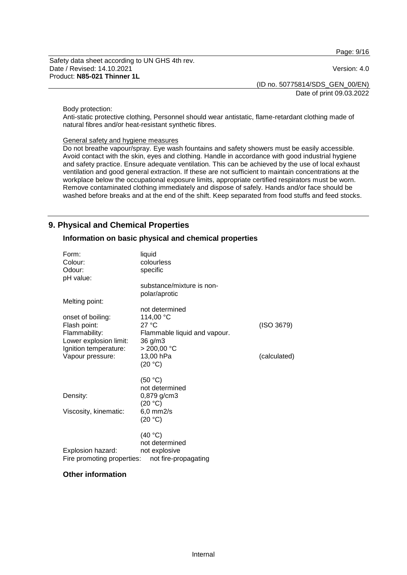Page: 9/16

Safety data sheet according to UN GHS 4th rev. Date / Revised: 14.10.2021 Version: 4.0 Product: **N85-021 Thinner 1L**

(ID no. 50775814/SDS\_GEN\_00/EN) Date of print 09.03.2022

#### Body protection:

Anti-static protective clothing, Personnel should wear antistatic, flame-retardant clothing made of natural fibres and/or heat-resistant synthetic fibres.

## General safety and hygiene measures

Do not breathe vapour/spray. Eye wash fountains and safety showers must be easily accessible. Avoid contact with the skin, eyes and clothing. Handle in accordance with good industrial hygiene and safety practice. Ensure adequate ventilation. This can be achieved by the use of local exhaust ventilation and good general extraction. If these are not sufficient to maintain concentrations at the workplace below the occupational exposure limits, appropriate certified respirators must be worn. Remove contaminated clothing immediately and dispose of safely. Hands and/or face should be washed before breaks and at the end of the shift. Keep separated from food stuffs and feed stocks.

## **9. Physical and Chemical Properties**

#### **Information on basic physical and chemical properties**

| Form:<br>Colour:<br>Odour:<br>pH value:                                                                                                     | liquid<br>colourless<br>specific                                                                                                                                       |                            |
|---------------------------------------------------------------------------------------------------------------------------------------------|------------------------------------------------------------------------------------------------------------------------------------------------------------------------|----------------------------|
| Melting point:<br>onset of boiling:<br>Flash point:<br>Flammability:<br>Lower explosion limit:<br>Ignition temperature:<br>Vapour pressure: | substance/mixture is non-<br>polar/aprotic<br>not determined<br>114,00 °C<br>27 °C<br>Flammable liquid and vapour.<br>36 g/m3<br>$> 200,00$ °C<br>13,00 hPa<br>(20 °C) | (ISO 3679)<br>(calculated) |
| Density:<br>Viscosity, kinematic:                                                                                                           | (50 °C)<br>not determined<br>0,879 g/cm3<br>(20 °C)<br>$6,0$ mm $2/s$<br>(20 °C)                                                                                       |                            |
| Explosion hazard:<br>Fire promoting properties:                                                                                             | (40 °C)<br>not determined<br>not explosive<br>not fire-propagating                                                                                                     |                            |

#### **Other information**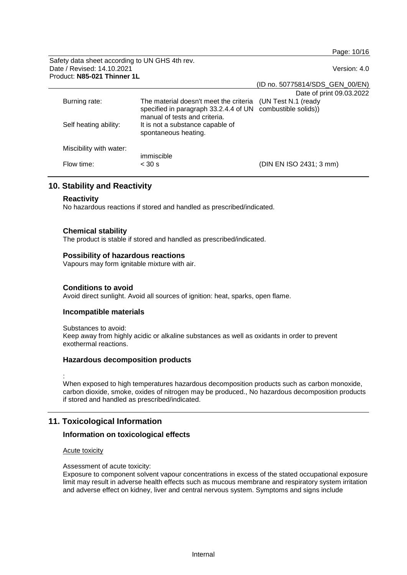Page: 10/16

Safety data sheet according to UN GHS 4th rev. Date / Revised: 14.10.2021 Version: 4.0 Product: **N85-021 Thinner 1L**

(ID no. 50775814/SDS\_GEN\_00/EN)

|                         |                                                                                                                                       | Date of print 09.03.2022 |
|-------------------------|---------------------------------------------------------------------------------------------------------------------------------------|--------------------------|
| Burning rate:           | The material doesn't meet the criteria<br>specified in paragraph 33.2.4.4 of UN combustible solids))<br>manual of tests and criteria. | (UN Test N.1 (ready      |
| Self heating ability:   | It is not a substance capable of<br>spontaneous heating.                                                                              |                          |
| Miscibility with water: | immiscible                                                                                                                            |                          |
| Flow time:              | $<$ 30 s                                                                                                                              | (DIN EN ISO 2431; 3 mm)  |

## **10. Stability and Reactivity**

#### **Reactivity**

No hazardous reactions if stored and handled as prescribed/indicated.

#### **Chemical stability**

The product is stable if stored and handled as prescribed/indicated.

#### **Possibility of hazardous reactions**

Vapours may form ignitable mixture with air.

#### **Conditions to avoid**

Avoid direct sunlight. Avoid all sources of ignition: heat, sparks, open flame.

#### **Incompatible materials**

Substances to avoid:

Keep away from highly acidic or alkaline substances as well as oxidants in order to prevent exothermal reactions.

#### **Hazardous decomposition products**

:

When exposed to high temperatures hazardous decomposition products such as carbon monoxide, carbon dioxide, smoke, oxides of nitrogen may be produced., No hazardous decomposition products if stored and handled as prescribed/indicated.

## **11. Toxicological Information**

#### **Information on toxicological effects**

#### Acute toxicity

Assessment of acute toxicity:

Exposure to component solvent vapour concentrations in excess of the stated occupational exposure limit may result in adverse health effects such as mucous membrane and respiratory system irritation and adverse effect on kidney, liver and central nervous system. Symptoms and signs include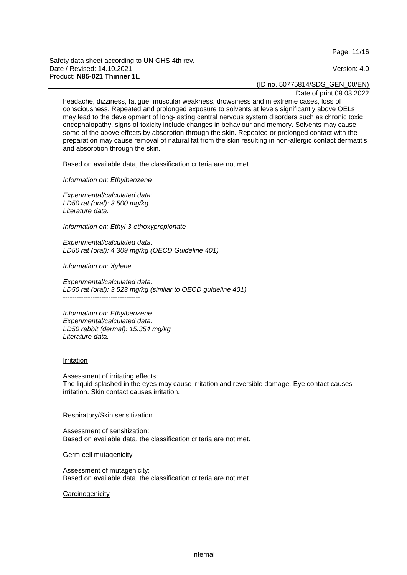Page: 11/16

Safety data sheet according to UN GHS 4th rev. Date / Revised: 14.10.2021 **Version: 4.0** Product: **N85-021 Thinner 1L**

(ID no. 50775814/SDS\_GEN\_00/EN)

Date of print 09.03.2022

headache, dizziness, fatigue, muscular weakness, drowsiness and in extreme cases, loss of consciousness. Repeated and prolonged exposure to solvents at levels significantly above OELs may lead to the development of long-lasting central nervous system disorders such as chronic toxic encephalopathy, signs of toxicity include changes in behaviour and memory. Solvents may cause some of the above effects by absorption through the skin. Repeated or prolonged contact with the preparation may cause removal of natural fat from the skin resulting in non-allergic contact dermatitis and absorption through the skin.

Based on available data, the classification criteria are not met.

*Information on: Ethylbenzene*

*Experimental/calculated data: LD50 rat (oral): 3.500 mg/kg Literature data.*

*Information on: Ethyl 3-ethoxypropionate*

*Experimental/calculated data: LD50 rat (oral): 4.309 mg/kg (OECD Guideline 401)*

*Information on: Xylene*

*Experimental/calculated data: LD50 rat (oral): 3.523 mg/kg (similar to OECD guideline 401)* ----------------------------------

*Information on: Ethylbenzene Experimental/calculated data: LD50 rabbit (dermal): 15.354 mg/kg Literature data.*

#### Irritation

Assessment of irritating effects: The liquid splashed in the eyes may cause irritation and reversible damage. Eye contact causes irritation. Skin contact causes irritation.

#### Respiratory/Skin sensitization

Assessment of sensitization: Based on available data, the classification criteria are not met.

Germ cell mutagenicity

Assessment of mutagenicity: Based on available data, the classification criteria are not met.

#### **Carcinogenicity**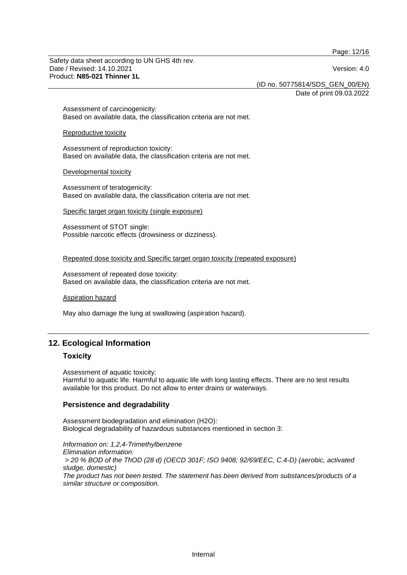Page: 12/16

Safety data sheet according to UN GHS 4th rev. Date / Revised: 14.10.2021 **Version: 4.0** Product: **N85-021 Thinner 1L**

(ID no. 50775814/SDS\_GEN\_00/EN)

Date of print 09.03.2022

Assessment of carcinogenicity: Based on available data, the classification criteria are not met.

#### Reproductive toxicity

Assessment of reproduction toxicity: Based on available data, the classification criteria are not met.

#### Developmental toxicity

Assessment of teratogenicity: Based on available data, the classification criteria are not met.

Specific target organ toxicity (single exposure)

Assessment of STOT single: Possible narcotic effects (drowsiness or dizziness).

#### Repeated dose toxicity and Specific target organ toxicity (repeated exposure)

Assessment of repeated dose toxicity: Based on available data, the classification criteria are not met.

#### Aspiration hazard

May also damage the lung at swallowing (aspiration hazard).

## **12. Ecological Information**

#### **Toxicity**

Assessment of aquatic toxicity:

Harmful to aquatic life. Harmful to aquatic life with long lasting effects. There are no test results available for this product. Do not allow to enter drains or waterways.

#### **Persistence and degradability**

Assessment biodegradation and elimination (H2O): Biological degradability of hazardous substances mentioned in section 3:

*Information on: 1,2,4-Trimethylbenzene Elimination information: > 20 % BOD of the ThOD (28 d) (OECD 301F; ISO 9408; 92/69/EEC, C.4-D) (aerobic, activated sludge, domestic) The product has not been tested. The statement has been derived from substances/products of a similar structure or composition.*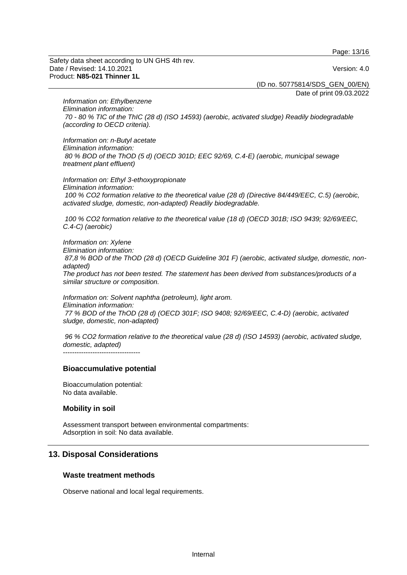Page: 13/16

Safety data sheet according to UN GHS 4th rev. Date / Revised: 14.10.2021 **Version: 4.0** Product: **N85-021 Thinner 1L**

(ID no. 50775814/SDS\_GEN\_00/EN)

Date of print 09.03.2022

*Information on: Ethylbenzene Elimination information: 70 - 80 % TIC of the ThIC (28 d) (ISO 14593) (aerobic, activated sludge) Readily biodegradable (according to OECD criteria).*

*Information on: n-Butyl acetate Elimination information: 80 % BOD of the ThOD (5 d) (OECD 301D; EEC 92/69, C.4-E) (aerobic, municipal sewage treatment plant effluent)*

*Information on: Ethyl 3-ethoxypropionate Elimination information: 100 % CO2 formation relative to the theoretical value (28 d) (Directive 84/449/EEC, C.5) (aerobic, activated sludge, domestic, non-adapted) Readily biodegradable.*

*100 % CO2 formation relative to the theoretical value (18 d) (OECD 301B; ISO 9439; 92/69/EEC, C.4-C) (aerobic)*

*Information on: Xylene Elimination information: 87,8 % BOD of the ThOD (28 d) (OECD Guideline 301 F) (aerobic, activated sludge, domestic, nonadapted) The product has not been tested. The statement has been derived from substances/products of a similar structure or composition.*

*Information on: Solvent naphtha (petroleum), light arom. Elimination information: 77 % BOD of the ThOD (28 d) (OECD 301F; ISO 9408; 92/69/EEC, C.4-D) (aerobic, activated sludge, domestic, non-adapted)*

*96 % CO2 formation relative to the theoretical value (28 d) (ISO 14593) (aerobic, activated sludge, domestic, adapted)* ----------------------------------

#### **Bioaccumulative potential**

Bioaccumulation potential: No data available.

#### **Mobility in soil**

Assessment transport between environmental compartments: Adsorption in soil: No data available.

## **13. Disposal Considerations**

#### **Waste treatment methods**

Observe national and local legal requirements.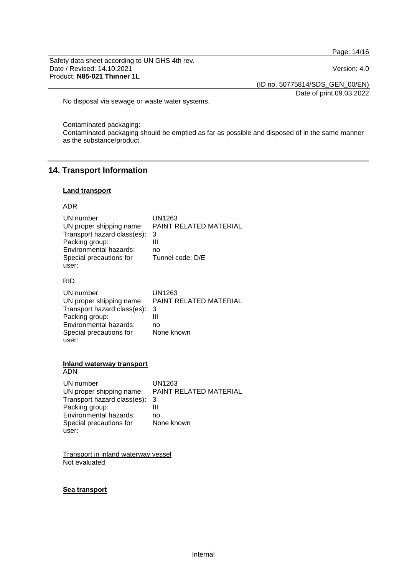Page: 14/16

Safety data sheet according to UN GHS 4th rev. Date / Revised: 14.10.2021 Product: **N85-021 Thinner 1L**

(ID no. 50775814/SDS\_GEN\_00/EN)

Date of print 09.03.2022

No disposal via sewage or waste water systems.

Contaminated packaging:

Contaminated packaging should be emptied as far as possible and disposed of in the same manner as the substance/product.

## **14. Transport Information**

#### **Land transport**

#### ADR

| UN number                   | UN1263                 |
|-----------------------------|------------------------|
| UN proper shipping name:    | PAINT RELATED MATERIAL |
| Transport hazard class(es): | 3                      |
| Packing group:              | Ш                      |
| Environmental hazards:      | no                     |
| Special precautions for     | Tunnel code: D/E       |
| user:                       |                        |

#### RID

| UN number                   | UN1263                 |
|-----------------------------|------------------------|
| UN proper shipping name:    | PAINT RELATED MATERIAL |
| Transport hazard class(es): | 3                      |
| Packing group:              | Ш                      |
| Environmental hazards:      | no                     |
| Special precautions for     | None known             |
| user:                       |                        |

## **Inland waterway transport**

## ADN

| UN number                   | UN1263                 |
|-----------------------------|------------------------|
| UN proper shipping name:    | PAINT RELATED MATERIAL |
| Transport hazard class(es): | 3                      |
| Packing group:              | Ш                      |
| Environmental hazards:      | no                     |
| Special precautions for     | None known             |
| user:                       |                        |

Transport in inland waterway vessel Not evaluated

#### **Sea transport**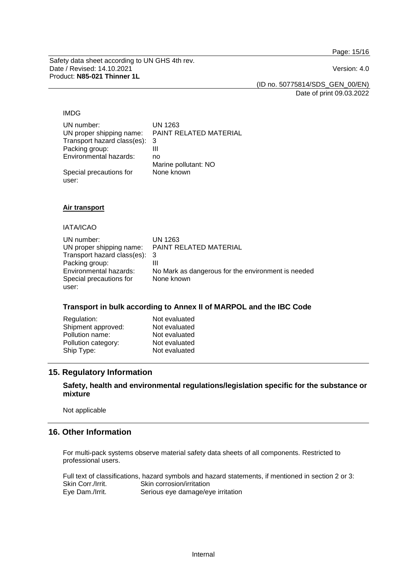Page: 15/16

Safety data sheet according to UN GHS 4th rev. Date / Revised: 14.10.2021 Version: 4.0 Product: **N85-021 Thinner 1L**

(ID no. 50775814/SDS\_GEN\_00/EN)

Date of print 09.03.2022

#### IMDG

| UN number:                  | UN 1263                |
|-----------------------------|------------------------|
| UN proper shipping name:    | PAINT RELATED MATERIAL |
| Transport hazard class(es): | 3                      |
| Packing group:              | Ш                      |
| Environmental hazards:      | no                     |
|                             | Marine pollutant: NO   |
| Special precautions for     | None known             |
| user:                       |                        |

#### **Air transport**

IATA/ICAO

| UN number:                    | UN 1263                                            |
|-------------------------------|----------------------------------------------------|
| UN proper shipping name:      | PAINT RELATED MATERIAL                             |
| Transport hazard class(es): 3 |                                                    |
| Packing group:                |                                                    |
| Environmental hazards:        | No Mark as dangerous for the environment is needed |
| Special precautions for       | None known                                         |
| user:                         |                                                    |

#### **Transport in bulk according to Annex II of MARPOL and the IBC Code**

| Regulation:         | Not evaluated |
|---------------------|---------------|
| Shipment approved:  | Not evaluated |
| Pollution name:     | Not evaluated |
| Pollution category: | Not evaluated |
| Ship Type:          | Not evaluated |

## **15. Regulatory Information**

## **Safety, health and environmental regulations/legislation specific for the substance or mixture**

Not applicable

## **16. Other Information**

For multi-pack systems observe material safety data sheets of all components. Restricted to professional users.

Full text of classifications, hazard symbols and hazard statements, if mentioned in section 2 or 3:<br>Skin Corr./Irrit. Skin corrosion/irritation Skin Corr./Irrit.<br>
Eye Dam./Irrit. Serious eye damage/ey Serious eye damage/eye irritation